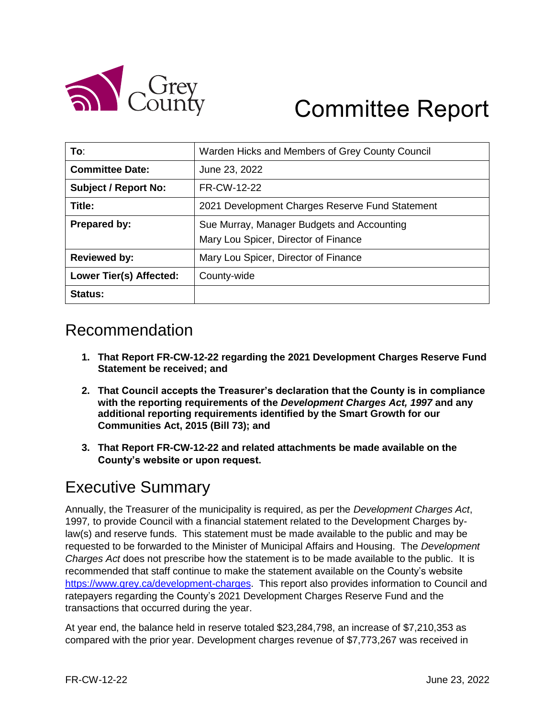

# Committee Report

| To:                         | Warden Hicks and Members of Grey County Council |  |  |  |
|-----------------------------|-------------------------------------------------|--|--|--|
| <b>Committee Date:</b>      | June 23, 2022                                   |  |  |  |
| <b>Subject / Report No:</b> | FR-CW-12-22                                     |  |  |  |
| Title:                      | 2021 Development Charges Reserve Fund Statement |  |  |  |
| Prepared by:                | Sue Murray, Manager Budgets and Accounting      |  |  |  |
|                             | Mary Lou Spicer, Director of Finance            |  |  |  |
| <b>Reviewed by:</b>         | Mary Lou Spicer, Director of Finance            |  |  |  |
| Lower Tier(s) Affected:     | County-wide                                     |  |  |  |
| Status:                     |                                                 |  |  |  |

#### Recommendation

- **1. That Report FR-CW-12-22 regarding the 2021 Development Charges Reserve Fund Statement be received; and**
- **2. That Council accepts the Treasurer's declaration that the County is in compliance with the reporting requirements of the** *Development Charges Act, 1997* **and any additional reporting requirements identified by the Smart Growth for our Communities Act, 2015 (Bill 73); and**
- **3. That Report FR-CW-12-22 and related attachments be made available on the County's website or upon request.**

## Executive Summary

Annually, the Treasurer of the municipality is required, as per the *Development Charges Act*, 1997*,* to provide Council with a financial statement related to the Development Charges bylaw(s) and reserve funds. This statement must be made available to the public and may be requested to be forwarded to the Minister of Municipal Affairs and Housing. The *Development Charges Act* does not prescribe how the statement is to be made available to the public. It is recommended that staff continue to make the statement available on the County's website [https://www.grey.ca/development-charges.](https://www.grey.ca/development-charges) This report also provides information to Council and ratepayers regarding the County's 2021 Development Charges Reserve Fund and the transactions that occurred during the year.

At year end, the balance held in reserve totaled \$23,284,798, an increase of \$7,210,353 as compared with the prior year. Development charges revenue of \$7,773,267 was received in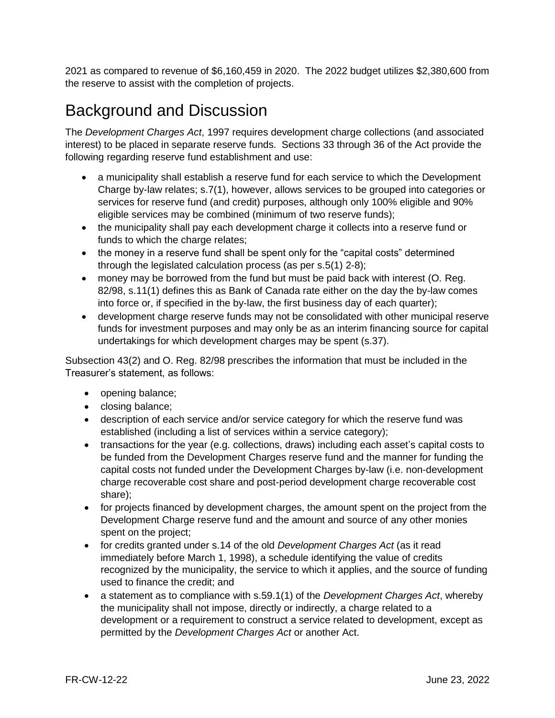2021 as compared to revenue of \$6,160,459 in 2020. The 2022 budget utilizes \$2,380,600 from the reserve to assist with the completion of projects.

## Background and Discussion

The *Development Charges Act*, 1997 requires development charge collections (and associated interest) to be placed in separate reserve funds. Sections 33 through 36 of the Act provide the following regarding reserve fund establishment and use:

- a municipality shall establish a reserve fund for each service to which the Development Charge by-law relates; s.7(1), however, allows services to be grouped into categories or services for reserve fund (and credit) purposes, although only 100% eligible and 90% eligible services may be combined (minimum of two reserve funds);
- the municipality shall pay each development charge it collects into a reserve fund or funds to which the charge relates;
- the money in a reserve fund shall be spent only for the "capital costs" determined through the legislated calculation process (as per s.5(1) 2-8);
- money may be borrowed from the fund but must be paid back with interest (O. Reg. 82/98, s.11(1) defines this as Bank of Canada rate either on the day the by-law comes into force or, if specified in the by-law, the first business day of each quarter);
- development charge reserve funds may not be consolidated with other municipal reserve funds for investment purposes and may only be as an interim financing source for capital undertakings for which development charges may be spent (s.37).

Subsection 43(2) and O. Reg. 82/98 prescribes the information that must be included in the Treasurer's statement, as follows:

- opening balance;
- closing balance;
- description of each service and/or service category for which the reserve fund was established (including a list of services within a service category);
- transactions for the year (e.g. collections, draws) including each asset's capital costs to be funded from the Development Charges reserve fund and the manner for funding the capital costs not funded under the Development Charges by-law (i.e. non-development charge recoverable cost share and post-period development charge recoverable cost share);
- for projects financed by development charges, the amount spent on the project from the Development Charge reserve fund and the amount and source of any other monies spent on the project;
- for credits granted under s.14 of the old *Development Charges Act* (as it read immediately before March 1, 1998), a schedule identifying the value of credits recognized by the municipality, the service to which it applies, and the source of funding used to finance the credit; and
- a statement as to compliance with s.59.1(1) of the *Development Charges Act*, whereby the municipality shall not impose, directly or indirectly, a charge related to a development or a requirement to construct a service related to development, except as permitted by the *Development Charges Act* or another Act.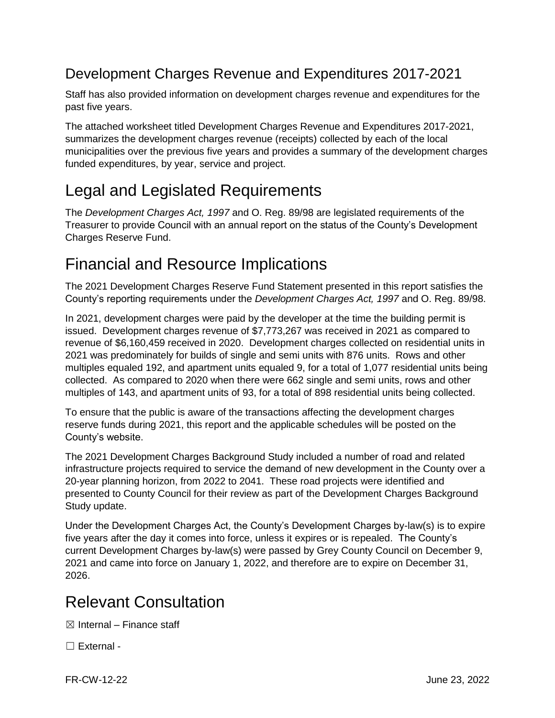#### Development Charges Revenue and Expenditures 2017-2021

Staff has also provided information on development charges revenue and expenditures for the past five years.

The attached worksheet titled Development Charges Revenue and Expenditures 2017-2021, summarizes the development charges revenue (receipts) collected by each of the local municipalities over the previous five years and provides a summary of the development charges funded expenditures, by year, service and project.

# Legal and Legislated Requirements

The *Development Charges Act, 1997* and O. Reg. 89/98 are legislated requirements of the Treasurer to provide Council with an annual report on the status of the County's Development Charges Reserve Fund.

# Financial and Resource Implications

The 2021 Development Charges Reserve Fund Statement presented in this report satisfies the County's reporting requirements under the *Development Charges Act, 1997* and O. Reg. 89/98.

In 2021, development charges were paid by the developer at the time the building permit is issued. Development charges revenue of \$7,773,267 was received in 2021 as compared to revenue of \$6,160,459 received in 2020. Development charges collected on residential units in 2021 was predominately for builds of single and semi units with 876 units. Rows and other multiples equaled 192, and apartment units equaled 9, for a total of 1,077 residential units being collected. As compared to 2020 when there were 662 single and semi units, rows and other multiples of 143, and apartment units of 93, for a total of 898 residential units being collected.

To ensure that the public is aware of the transactions affecting the development charges reserve funds during 2021, this report and the applicable schedules will be posted on the County's website.

The 2021 Development Charges Background Study included a number of road and related infrastructure projects required to service the demand of new development in the County over a 20-year planning horizon, from 2022 to 2041. These road projects were identified and presented to County Council for their review as part of the Development Charges Background Study update.

Under the Development Charges Act, the County's Development Charges by-law(s) is to expire five years after the day it comes into force, unless it expires or is repealed. The County's current Development Charges by-law(s) were passed by Grey County Council on December 9, 2021 and came into force on January 1, 2022, and therefore are to expire on December 31, 2026.

## Relevant Consultation

 $\boxtimes$  Internal – Finance staff

☐ External -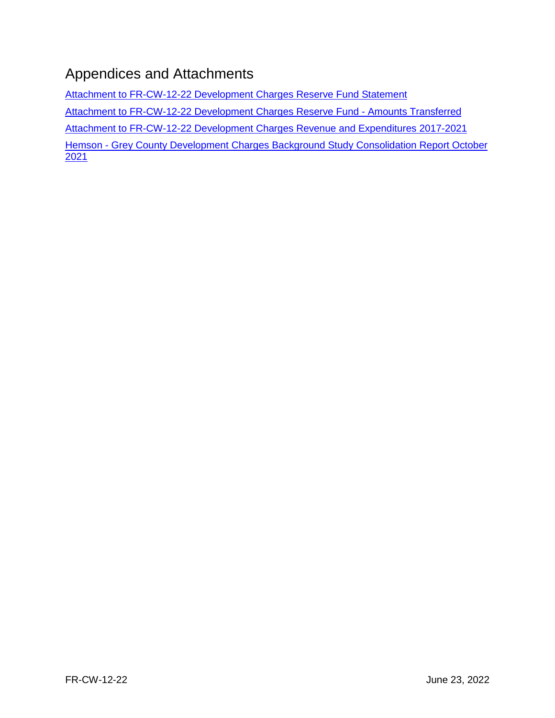### Appendices and Attachments

[Attachment to FR-CW-12-22 Development Charges Reserve Fund Statement](https://docs.grey.ca/share/public?nodeRef=workspace://SpacesStore/1cce77df-33e2-4676-a75c-060292d93035) [Attachment to FR-CW-12-22 Development Charges Reserve Fund -](https://docs.grey.ca/share/public?nodeRef=workspace://SpacesStore/f54aa7fe-8847-415f-a921-b706fca1a74a) Amounts Transferred [Attachment to FR-CW-12-22 Development Charges Revenue and Expenditures 2017-2021](https://docs.grey.ca/share/public?nodeRef=workspace://SpacesStore/258b9b55-d95c-482a-9782-cb9d2d3eb063) Hemson - [Grey County Development Charges Background Study](https://docs.grey.ca/share/public?nodeRef=workspace://SpacesStore/398b5d7b-ffec-4e15-b0b6-f2bc03875112) Consolidation Report October [2021](https://docs.grey.ca/share/public?nodeRef=workspace://SpacesStore/398b5d7b-ffec-4e15-b0b6-f2bc03875112)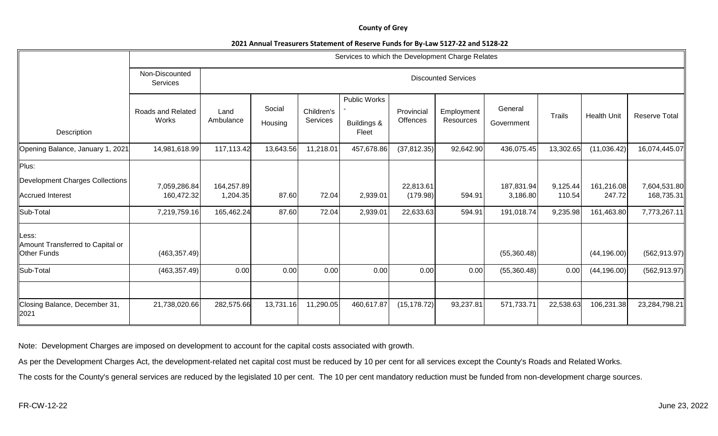#### **County of Grey**

#### **2021 Annual Treasurers Statement of Reserve Funds for By-Law 5127-22 and 5128-22**

|                                                                 | Services to which the Development Charge Relates |                        |                            |                        |                                      |                        |                         |                        |                    |                      |                            |
|-----------------------------------------------------------------|--------------------------------------------------|------------------------|----------------------------|------------------------|--------------------------------------|------------------------|-------------------------|------------------------|--------------------|----------------------|----------------------------|
|                                                                 | Non-Discounted<br>Services                       |                        | <b>Discounted Services</b> |                        |                                      |                        |                         |                        |                    |                      |                            |
| Description                                                     | Roads and Related<br>Works                       | Land<br>Ambulance      | Social<br>Housing          | Children's<br>Services | Public Works<br>Buildings &<br>Fleet | Provincial<br>Offences | Employment<br>Resources | General<br>Government  | Trails             | <b>Health Unit</b>   | <b>Reserve Total</b>       |
| Opening Balance, January 1, 2021                                | 14,981,618.99                                    | 117,113.42             | 13,643.56                  | 11,218.01              | 457,678.86                           | (37, 812.35)           | 92,642.90               | 436,075.45             | 13,302.65          | (11,036.42)          | 16,074,445.07              |
| Plus:<br>Development Charges Collections<br>Accrued Interest    | 7,059,286.84<br>160,472.32                       | 164,257.89<br>1,204.35 | 87.60                      | 72.04                  | 2,939.01                             | 22,813.61<br>(179.98)  | 594.91                  | 187,831.94<br>3,186.80 | 9,125.44<br>110.54 | 161,216.08<br>247.72 | 7,604,531.80<br>168,735.31 |
| Sub-Total                                                       | 7,219,759.16                                     | 165,462.24             | 87.60                      | 72.04                  | 2,939.01                             | 22,633.63              | 594.91                  | 191,018.74             | 9,235.98           | 161,463.80           | 7,773,267.11               |
| Less:<br>Amount Transferred to Capital or<br><b>Other Funds</b> | (463, 357.49)                                    |                        |                            |                        |                                      |                        |                         | (55,360.48)            |                    | (44, 196.00)         | (562, 913.97)              |
| Sub-Total                                                       | (463, 357.49)                                    | 0.00                   | 0.00                       | 0.00                   | 0.00                                 | 0.00                   | 0.00                    | (55,360.48)            | 0.00               | (44, 196.00)         | (562, 913.97)              |
|                                                                 |                                                  |                        |                            |                        |                                      |                        |                         |                        |                    |                      |                            |
| Closing Balance, December 31,<br>2021                           | 21,738,020.66                                    | 282,575.66             | 13,731.16                  | 11,290.05              | 460,617.87                           | (15, 178.72)           | 93,237.81               | 571,733.71             | 22,538.63          | 106,231.38           | 23,284,798.21              |

Note: Development Charges are imposed on development to account for the capital costs associated with growth.

As per the Development Charges Act, the development-related net capital cost must be reduced by 10 per cent for all services except the County's Roads and Related Works.

The costs for the County's general services are reduced by the legislated 10 per cent. The 10 per cent mandatory reduction must be funded from non-development charge sources.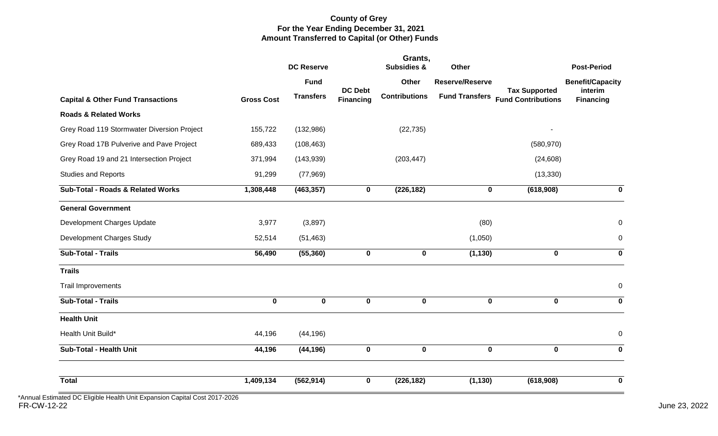#### **County of Grey For the Year Ending December 31, 2021 Amount Transferred to Capital (or Other) Funds**

|                   | <b>DC Reserve</b> |                  | <b>Subsidies &amp;</b> | Other                 |             | <b>Post-Period</b>                                           |
|-------------------|-------------------|------------------|------------------------|-----------------------|-------------|--------------------------------------------------------------|
|                   | <b>Fund</b>       |                  | <b>Other</b>           | Reserve/Reserve       |             | <b>Benefit/Capacity</b>                                      |
| <b>Gross Cost</b> | <b>Transfers</b>  | <b>Financing</b> | <b>Contributions</b>   | <b>Fund Transfers</b> |             | interim<br><b>Financing</b>                                  |
|                   |                   |                  |                        |                       |             |                                                              |
| 155,722           | (132,986)         |                  | (22, 735)              |                       |             |                                                              |
| 689,433           | (108, 463)        |                  |                        |                       | (580, 970)  |                                                              |
| 371,994           | (143, 939)        |                  | (203, 447)             |                       | (24, 608)   |                                                              |
| 91,299            | (77, 969)         |                  |                        |                       | (13, 330)   |                                                              |
| 1,308,448         | (463, 357)        | 0                | (226, 182)             | $\mathbf 0$           | (618,908)   | 0                                                            |
|                   |                   |                  |                        |                       |             |                                                              |
| 3,977             | (3,897)           |                  |                        | (80)                  |             | $\mathbf 0$                                                  |
| 52,514            | (51, 463)         |                  |                        | (1,050)               |             | $\boldsymbol{0}$                                             |
| 56,490            | (55, 360)         | $\mathbf 0$      | $\mathbf 0$            | (1, 130)              | $\mathbf 0$ | $\mathbf 0$                                                  |
|                   |                   |                  |                        |                       |             |                                                              |
|                   |                   |                  |                        |                       |             | $\pmb{0}$                                                    |
| $\mathbf 0$       | $\mathbf 0$       | $\mathbf 0$      | $\mathbf 0$            | $\mathbf 0$           | $\mathbf 0$ | $\mathbf 0$                                                  |
|                   |                   |                  |                        |                       |             |                                                              |
| 44,196            | (44, 196)         |                  |                        |                       |             | 0                                                            |
| 44,196            | (44, 196)         | $\mathbf 0$      | $\mathbf 0$            | $\mathbf 0$           | $\mathbf 0$ | $\bf{0}$                                                     |
| 1,409,134         | (562, 914)        | 0                | (226, 182)             | (1, 130)              | (618,908)   | $\bf{0}$                                                     |
|                   |                   |                  | <b>DC Debt</b>         |                       |             | Grants,<br><b>Tax Supported</b><br><b>Fund Contributions</b> |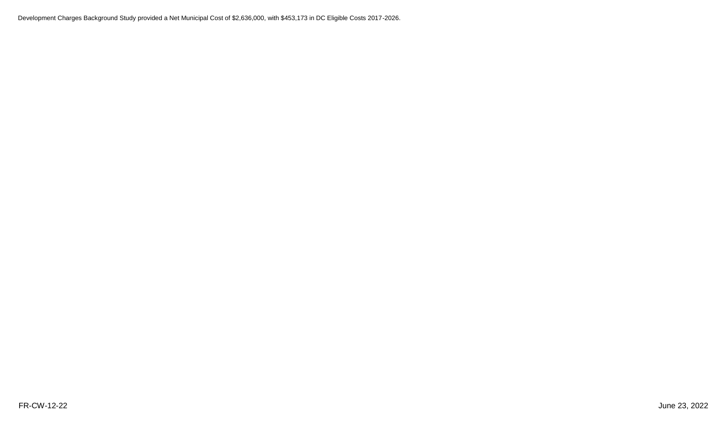Development Charges Background Study provided a Net Municipal Cost of \$2,636,000, with \$453,173 in DC Eligible Costs 2017-2026.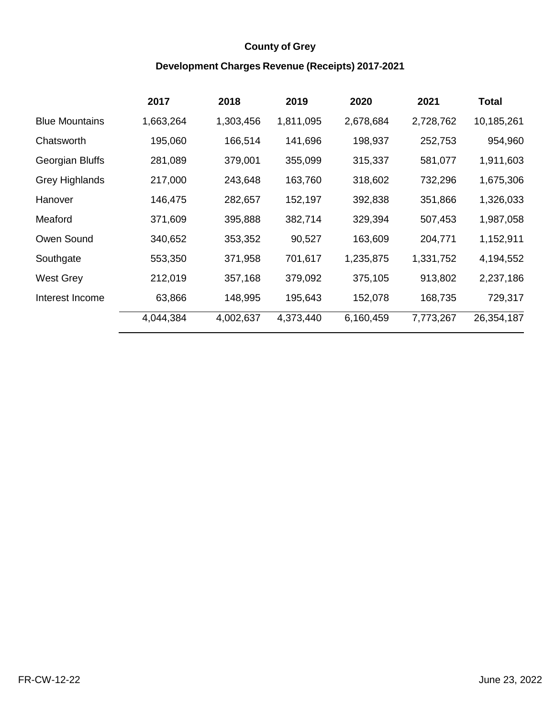#### **County of Grey**

#### **Development Charges Revenue (Receipts) 2017‐2021**

|                       | 2017      | 2018      | 2019      | 2020      | 2021      | <b>Total</b> |
|-----------------------|-----------|-----------|-----------|-----------|-----------|--------------|
| <b>Blue Mountains</b> | 1,663,264 | 1,303,456 | 1,811,095 | 2,678,684 | 2,728,762 | 10,185,261   |
| Chatsworth            | 195,060   | 166,514   | 141,696   | 198,937   | 252,753   | 954,960      |
| Georgian Bluffs       | 281,089   | 379,001   | 355,099   | 315,337   | 581,077   | 1,911,603    |
| <b>Grey Highlands</b> | 217,000   | 243,648   | 163,760   | 318,602   | 732,296   | 1,675,306    |
| Hanover               | 146,475   | 282,657   | 152,197   | 392,838   | 351,866   | 1,326,033    |
| Meaford               | 371,609   | 395,888   | 382,714   | 329,394   | 507,453   | 1,987,058    |
| Owen Sound            | 340,652   | 353,352   | 90,527    | 163,609   | 204,771   | 1,152,911    |
| Southgate             | 553,350   | 371,958   | 701,617   | 1,235,875 | 1,331,752 | 4,194,552    |
| West Grey             | 212,019   | 357,168   | 379,092   | 375,105   | 913,802   | 2,237,186    |
| Interest Income       | 63,866    | 148,995   | 195,643   | 152,078   | 168,735   | 729,317      |
|                       | 4,044,384 | 4,002,637 | 4,373,440 | 6,160,459 | 7,773,267 | 26,354,187   |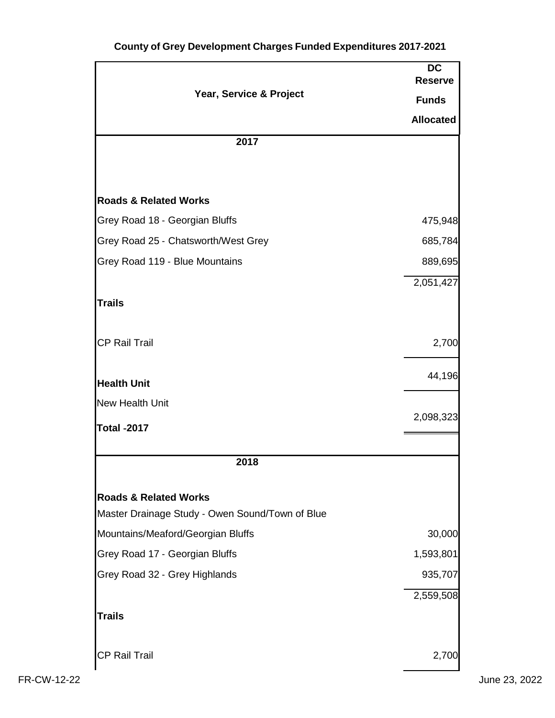|                                                 | <b>DC</b><br><b>Reserve</b> |
|-------------------------------------------------|-----------------------------|
| Year, Service & Project                         | <b>Funds</b>                |
|                                                 | <b>Allocated</b>            |
| 2017                                            |                             |
|                                                 |                             |
| <b>Roads &amp; Related Works</b>                |                             |
| Grey Road 18 - Georgian Bluffs                  | 475,948                     |
| Grey Road 25 - Chatsworth/West Grey             | 685,784                     |
| Grey Road 119 - Blue Mountains                  | 889,695                     |
|                                                 | 2,051,427                   |
| <b>Trails</b>                                   |                             |
| <b>CP Rail Trail</b>                            | 2,700                       |
| <b>Health Unit</b>                              | 44,196                      |
| <b>New Health Unit</b>                          |                             |
| <b>Total -2017</b>                              | 2,098,323                   |
| 2018                                            |                             |
| <b>Roads &amp; Related Works</b>                |                             |
| Master Drainage Study - Owen Sound/Town of Blue |                             |
| Mountains/Meaford/Georgian Bluffs               | 30,000                      |
| Grey Road 17 - Georgian Bluffs                  | 1,593,801                   |
| Grey Road 32 - Grey Highlands                   | 935,707                     |
| <b>Trails</b>                                   | 2,559,508                   |
|                                                 |                             |
| <b>CP Rail Trail</b>                            | 2,700                       |

#### **County of Grey Development Charges Funded Expenditures 2017‐2021**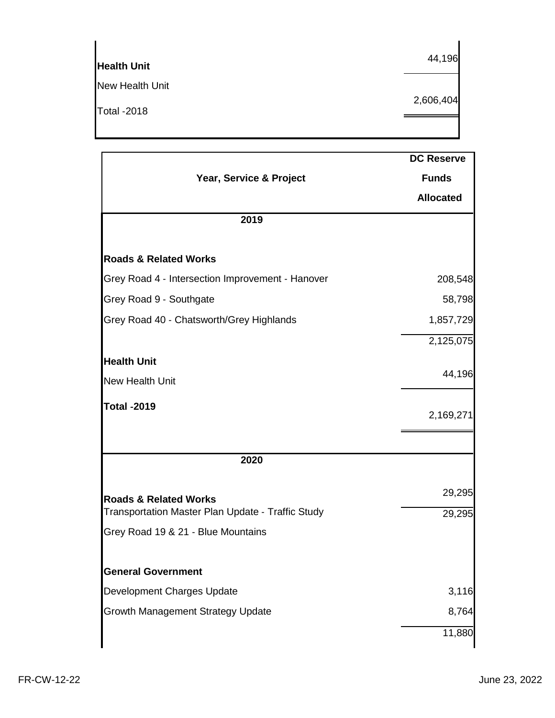| <b>Health Unit</b> | 44,196    |
|--------------------|-----------|
| New Health Unit    |           |
| <b>Total -2018</b> | 2,606,404 |
|                    |           |

|                                                   | <b>DC Reserve</b> |
|---------------------------------------------------|-------------------|
| Year, Service & Project                           | <b>Funds</b>      |
|                                                   | <b>Allocated</b>  |
| 2019                                              |                   |
| <b>Roads &amp; Related Works</b>                  |                   |
| Grey Road 4 - Intersection Improvement - Hanover  | 208,548           |
| Grey Road 9 - Southgate                           | 58,798            |
| Grey Road 40 - Chatsworth/Grey Highlands          | 1,857,729         |
|                                                   | 2,125,075         |
| <b>Health Unit</b>                                |                   |
| <b>New Health Unit</b>                            | 44,196            |
| <b>Total -2019</b>                                | 2,169,271         |
|                                                   |                   |
| 2020                                              |                   |
| <b>Roads &amp; Related Works</b>                  | 29,295            |
| Transportation Master Plan Update - Traffic Study | 29,295            |
| Grey Road 19 & 21 - Blue Mountains                |                   |
| <b>General Government</b>                         |                   |
| Development Charges Update                        | 3,116             |
| Growth Management Strategy Update                 | 8,764             |
|                                                   | 11,880            |
|                                                   |                   |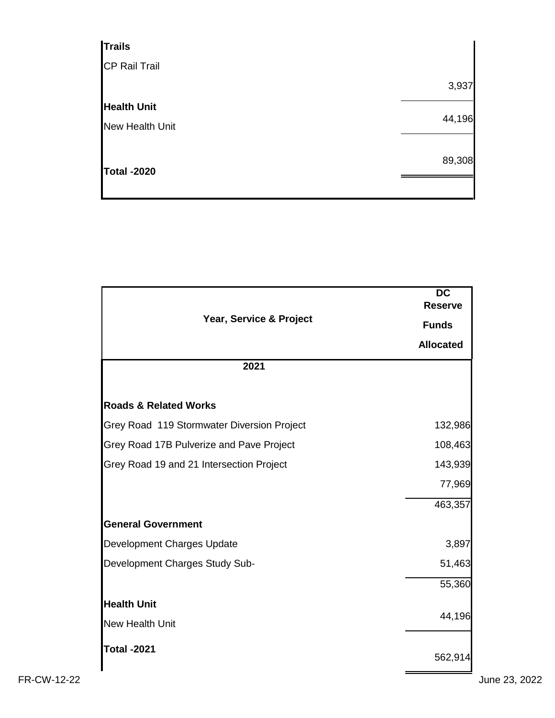| 3,937  |
|--------|
|        |
| 44,196 |
|        |
| 89,308 |
|        |
|        |

|                                            | <b>DC</b><br><b>Reserve</b> |
|--------------------------------------------|-----------------------------|
| Year, Service & Project                    | <b>Funds</b>                |
|                                            | <b>Allocated</b>            |
| 2021                                       |                             |
|                                            |                             |
| <b>Roads &amp; Related Works</b>           |                             |
| Grey Road 119 Stormwater Diversion Project | 132,986                     |
| Grey Road 17B Pulverize and Pave Project   | 108,463                     |
| Grey Road 19 and 21 Intersection Project   | 143,939                     |
|                                            | 77,969                      |
|                                            | 463,357                     |
| <b>General Government</b>                  |                             |
| Development Charges Update                 | 3,897                       |
| Development Charges Study Sub-             | 51,463                      |
|                                            | 55,360                      |
| <b>Health Unit</b>                         |                             |
| <b>New Health Unit</b>                     | 44,196                      |
| <b>Total -2021</b>                         |                             |
|                                            | 562,914                     |